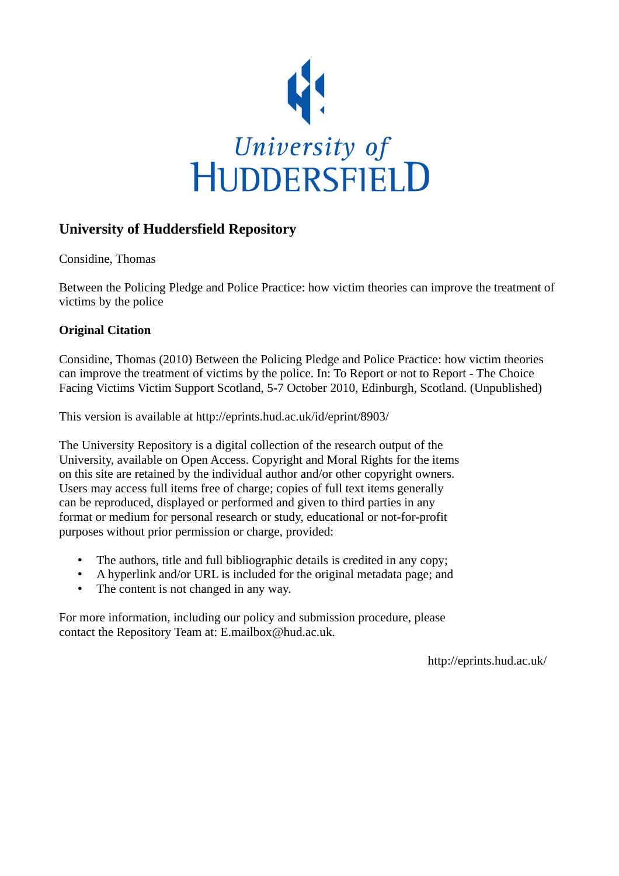

# **University of Huddersfield Repository**

Considine, Thomas

Between the Policing Pledge and Police Practice: how victim theories can improve the treatment of victims by the police

## **Original Citation**

Considine, Thomas (2010) Between the Policing Pledge and Police Practice: how victim theories can improve the treatment of victims by the police. In: To Report or not to Report - The Choice Facing Victims Victim Support Scotland, 5-7 October 2010, Edinburgh, Scotland. (Unpublished)

This version is available at http://eprints.hud.ac.uk/id/eprint/8903/

The University Repository is a digital collection of the research output of the University, available on Open Access. Copyright and Moral Rights for the items on this site are retained by the individual author and/or other copyright owners. Users may access full items free of charge; copies of full text items generally can be reproduced, displayed or performed and given to third parties in any format or medium for personal research or study, educational or not-for-profit purposes without prior permission or charge, provided:

- The authors, title and full bibliographic details is credited in any copy;
- A hyperlink and/or URL is included for the original metadata page; and
- The content is not changed in any way.

For more information, including our policy and submission procedure, please contact the Repository Team at: E.mailbox@hud.ac.uk.

http://eprints.hud.ac.uk/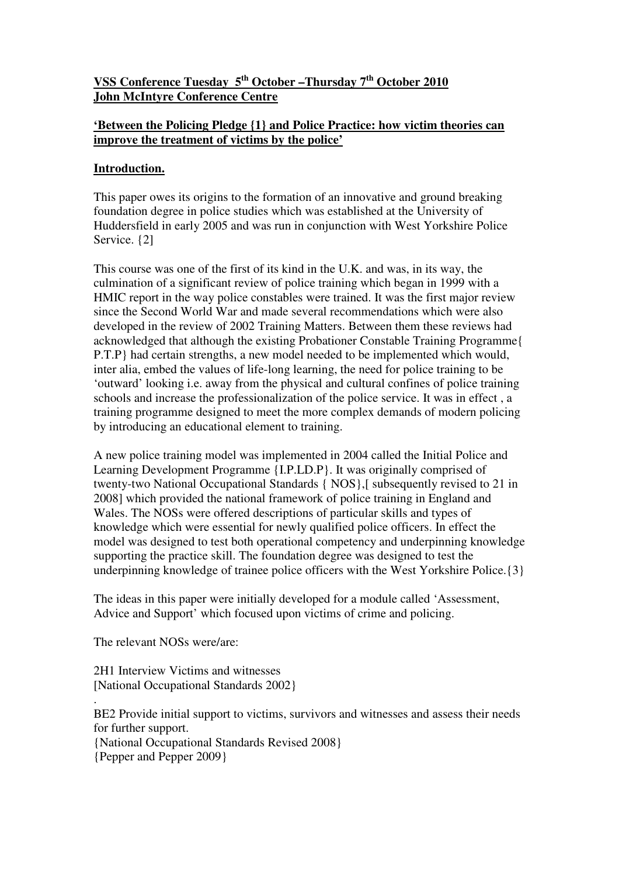## **VSS Conference Tuesday 5th October –Thursday 7th October 2010 John McIntyre Conference Centre**

## **'Between the Policing Pledge {1} and Police Practice: how victim theories can improve the treatment of victims by the police'**

## **Introduction.**

This paper owes its origins to the formation of an innovative and ground breaking foundation degree in police studies which was established at the University of Huddersfield in early 2005 and was run in conjunction with West Yorkshire Police Service.  $\{2\}$ 

This course was one of the first of its kind in the U.K. and was, in its way, the culmination of a significant review of police training which began in 1999 with a HMIC report in the way police constables were trained. It was the first major review since the Second World War and made several recommendations which were also developed in the review of 2002 Training Matters. Between them these reviews had acknowledged that although the existing Probationer Constable Training Programme{ P.T.P} had certain strengths, a new model needed to be implemented which would, inter alia, embed the values of life-long learning, the need for police training to be 'outward' looking i.e. away from the physical and cultural confines of police training schools and increase the professionalization of the police service. It was in effect , a training programme designed to meet the more complex demands of modern policing by introducing an educational element to training.

A new police training model was implemented in 2004 called the Initial Police and Learning Development Programme {I.P.LD.P}. It was originally comprised of twenty-two National Occupational Standards { NOS},[ subsequently revised to 21 in 2008] which provided the national framework of police training in England and Wales. The NOSs were offered descriptions of particular skills and types of knowledge which were essential for newly qualified police officers. In effect the model was designed to test both operational competency and underpinning knowledge supporting the practice skill. The foundation degree was designed to test the underpinning knowledge of trainee police officers with the West Yorkshire Police.{3}

The ideas in this paper were initially developed for a module called 'Assessment, Advice and Support' which focused upon victims of crime and policing.

The relevant NOSs were/are:

2H1 Interview Victims and witnesses [National Occupational Standards 2002}

. BE2 Provide initial support to victims, survivors and witnesses and assess their needs for further support. {National Occupational Standards Revised 2008} {Pepper and Pepper 2009}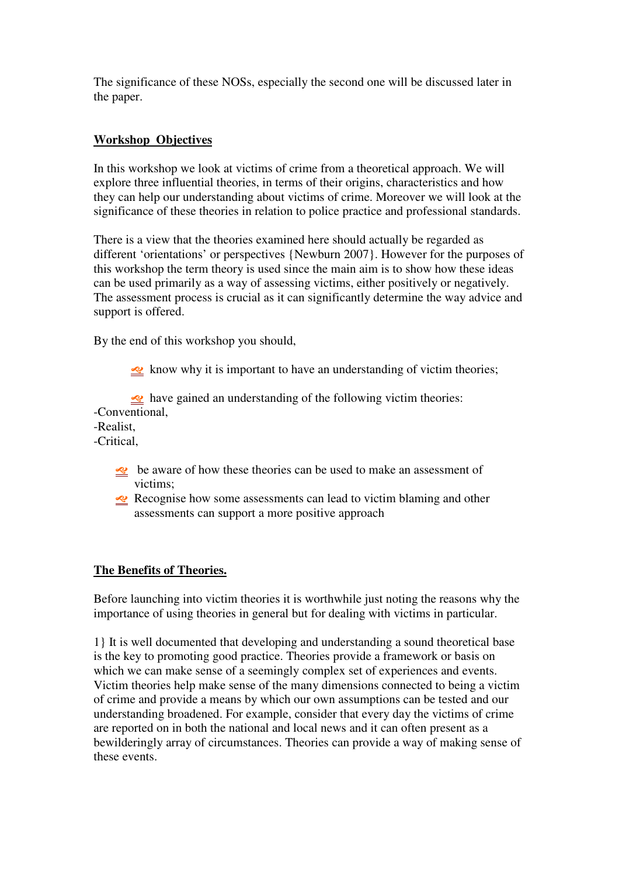The significance of these NOSs, especially the second one will be discussed later in the paper.

## **Workshop Objectives**

In this workshop we look at victims of crime from a theoretical approach. We will explore three influential theories, in terms of their origins, characteristics and how they can help our understanding about victims of crime. Moreover we will look at the significance of these theories in relation to police practice and professional standards.

There is a view that the theories examined here should actually be regarded as different 'orientations' or perspectives {Newburn 2007}. However for the purposes of this workshop the term theory is used since the main aim is to show how these ideas can be used primarily as a way of assessing victims, either positively or negatively. The assessment process is crucial as it can significantly determine the way advice and support is offered.

By the end of this workshop you should,

 $\leq$  know why it is important to have an understanding of victim theories;

• have gained an understanding of the following victim theories:

-Conventional,

-Realist,

-Critical,

- be aware of how these theories can be used to make an assessment of victims;
- Recognise how some assessments can lead to victim blaming and other assessments can support a more positive approach

## **The Benefits of Theories.**

Before launching into victim theories it is worthwhile just noting the reasons why the importance of using theories in general but for dealing with victims in particular.

1} It is well documented that developing and understanding a sound theoretical base is the key to promoting good practice. Theories provide a framework or basis on which we can make sense of a seemingly complex set of experiences and events. Victim theories help make sense of the many dimensions connected to being a victim of crime and provide a means by which our own assumptions can be tested and our understanding broadened. For example, consider that every day the victims of crime are reported on in both the national and local news and it can often present as a bewilderingly array of circumstances. Theories can provide a way of making sense of these events.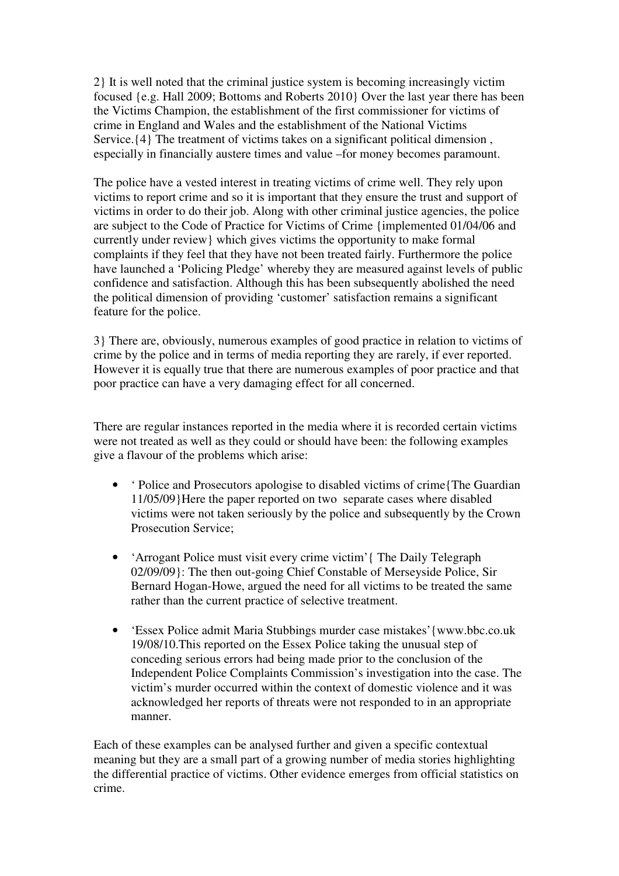2} It is well noted that the criminal justice system is becoming increasingly victim focused {e.g. Hall 2009; Bottoms and Roberts 2010} Over the last year there has been the Victims Champion, the establishment of the first commissioner for victims of crime in England and Wales and the establishment of the National Victims Service.  $\{4\}$  The treatment of victims takes on a significant political dimension, especially in financially austere times and value –for money becomes paramount.

The police have a vested interest in treating victims of crime well. They rely upon victims to report crime and so it is important that they ensure the trust and support of victims in order to do their job. Along with other criminal justice agencies, the police are subject to the Code of Practice for Victims of Crime {implemented 01/04/06 and currently under review} which gives victims the opportunity to make formal complaints if they feel that they have not been treated fairly. Furthermore the police have launched a 'Policing Pledge' whereby they are measured against levels of public confidence and satisfaction. Although this has been subsequently abolished the need the political dimension of providing 'customer' satisfaction remains a significant feature for the police.

3} There are, obviously, numerous examples of good practice in relation to victims of crime by the police and in terms of media reporting they are rarely, if ever reported. However it is equally true that there are numerous examples of poor practice and that poor practice can have a very damaging effect for all concerned.

There are regular instances reported in the media where it is recorded certain victims were not treated as well as they could or should have been: the following examples give a flavour of the problems which arise:

- 'Police and Prosecutors apologise to disabled victims of crime{The Guardian 11/05/09}Here the paper reported on two separate cases where disabled victims were not taken seriously by the police and subsequently by the Crown Prosecution Service;
- 'Arrogant Police must visit every crime victim'{ The Daily Telegraph 02/09/09}: The then out-going Chief Constable of Merseyside Police, Sir Bernard Hogan-Howe, argued the need for all victims to be treated the same rather than the current practice of selective treatment.
- 'Essex Police admit Maria Stubbings murder case mistakes'{www.bbc.co.uk 19/08/10.This reported on the Essex Police taking the unusual step of conceding serious errors had being made prior to the conclusion of the Independent Police Complaints Commission's investigation into the case. The victim's murder occurred within the context of domestic violence and it was acknowledged her reports of threats were not responded to in an appropriate manner.

Each of these examples can be analysed further and given a specific contextual meaning but they are a small part of a growing number of media stories highlighting the differential practice of victims. Other evidence emerges from official statistics on crime.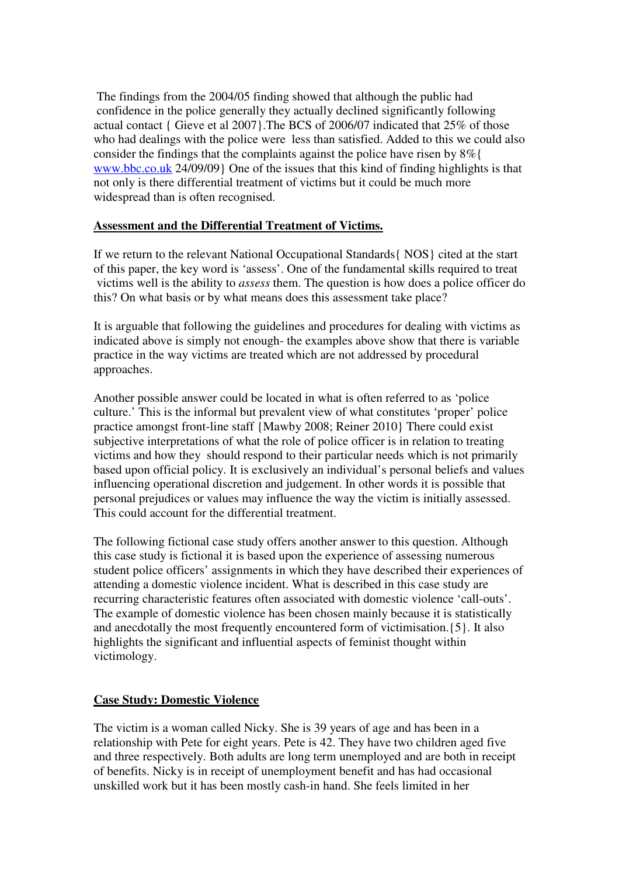The findings from the 2004/05 finding showed that although the public had confidence in the police generally they actually declined significantly following actual contact { Gieve et al 2007}.The BCS of 2006/07 indicated that 25% of those who had dealings with the police were less than satisfied. Added to this we could also consider the findings that the complaints against the police have risen by 8%{ www.bbc.co.uk 24/09/09} One of the issues that this kind of finding highlights is that not only is there differential treatment of victims but it could be much more widespread than is often recognised.

### **Assessment and the Differential Treatment of Victims.**

If we return to the relevant National Occupational Standards{ NOS} cited at the start of this paper, the key word is 'assess'. One of the fundamental skills required to treat victims well is the ability to *assess* them. The question is how does a police officer do this? On what basis or by what means does this assessment take place?

It is arguable that following the guidelines and procedures for dealing with victims as indicated above is simply not enough- the examples above show that there is variable practice in the way victims are treated which are not addressed by procedural approaches.

Another possible answer could be located in what is often referred to as 'police culture.' This is the informal but prevalent view of what constitutes 'proper' police practice amongst front-line staff {Mawby 2008; Reiner 2010} There could exist subjective interpretations of what the role of police officer is in relation to treating victims and how they should respond to their particular needs which is not primarily based upon official policy. It is exclusively an individual's personal beliefs and values influencing operational discretion and judgement. In other words it is possible that personal prejudices or values may influence the way the victim is initially assessed. This could account for the differential treatment.

The following fictional case study offers another answer to this question. Although this case study is fictional it is based upon the experience of assessing numerous student police officers' assignments in which they have described their experiences of attending a domestic violence incident. What is described in this case study are recurring characteristic features often associated with domestic violence 'call-outs'. The example of domestic violence has been chosen mainly because it is statistically and anecdotally the most frequently encountered form of victimisation.{5}. It also highlights the significant and influential aspects of feminist thought within victimology.

## **Case Study: Domestic Violence**

The victim is a woman called Nicky. She is 39 years of age and has been in a relationship with Pete for eight years. Pete is 42. They have two children aged five and three respectively. Both adults are long term unemployed and are both in receipt of benefits. Nicky is in receipt of unemployment benefit and has had occasional unskilled work but it has been mostly cash-in hand. She feels limited in her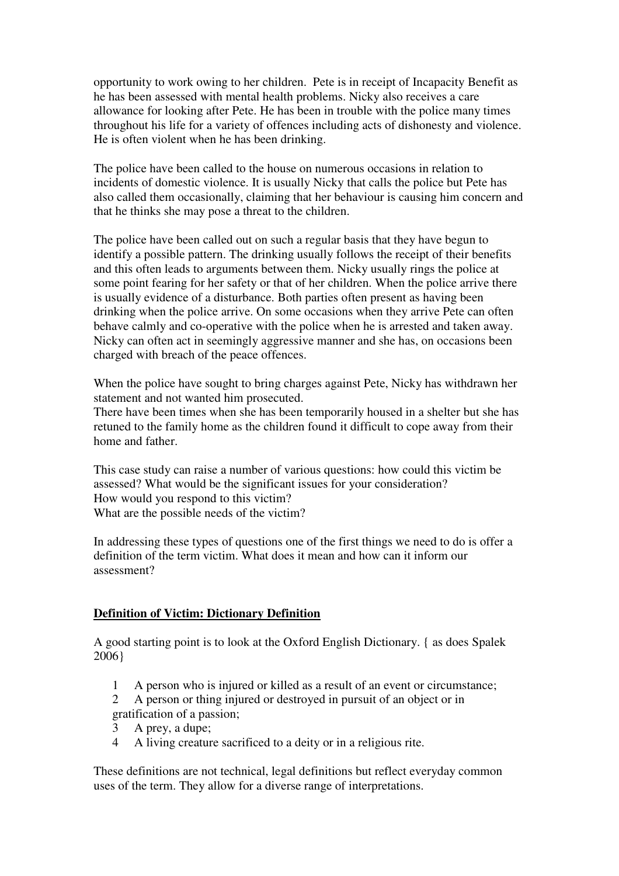opportunity to work owing to her children. Pete is in receipt of Incapacity Benefit as he has been assessed with mental health problems. Nicky also receives a care allowance for looking after Pete. He has been in trouble with the police many times throughout his life for a variety of offences including acts of dishonesty and violence. He is often violent when he has been drinking.

The police have been called to the house on numerous occasions in relation to incidents of domestic violence. It is usually Nicky that calls the police but Pete has also called them occasionally, claiming that her behaviour is causing him concern and that he thinks she may pose a threat to the children.

The police have been called out on such a regular basis that they have begun to identify a possible pattern. The drinking usually follows the receipt of their benefits and this often leads to arguments between them. Nicky usually rings the police at some point fearing for her safety or that of her children. When the police arrive there is usually evidence of a disturbance. Both parties often present as having been drinking when the police arrive. On some occasions when they arrive Pete can often behave calmly and co-operative with the police when he is arrested and taken away. Nicky can often act in seemingly aggressive manner and she has, on occasions been charged with breach of the peace offences.

When the police have sought to bring charges against Pete, Nicky has withdrawn her statement and not wanted him prosecuted.

There have been times when she has been temporarily housed in a shelter but she has retuned to the family home as the children found it difficult to cope away from their home and father.

This case study can raise a number of various questions: how could this victim be assessed? What would be the significant issues for your consideration? How would you respond to this victim? What are the possible needs of the victim?

In addressing these types of questions one of the first things we need to do is offer a definition of the term victim. What does it mean and how can it inform our assessment?

#### **Definition of Victim: Dictionary Definition**

A good starting point is to look at the Oxford English Dictionary. { as does Spalek 2006}

- 1 A person who is injured or killed as a result of an event or circumstance;
- 2 A person or thing injured or destroyed in pursuit of an object or in gratification of a passion;
- 3 A prey, a dupe;
- 4 A living creature sacrificed to a deity or in a religious rite.

These definitions are not technical, legal definitions but reflect everyday common uses of the term. They allow for a diverse range of interpretations.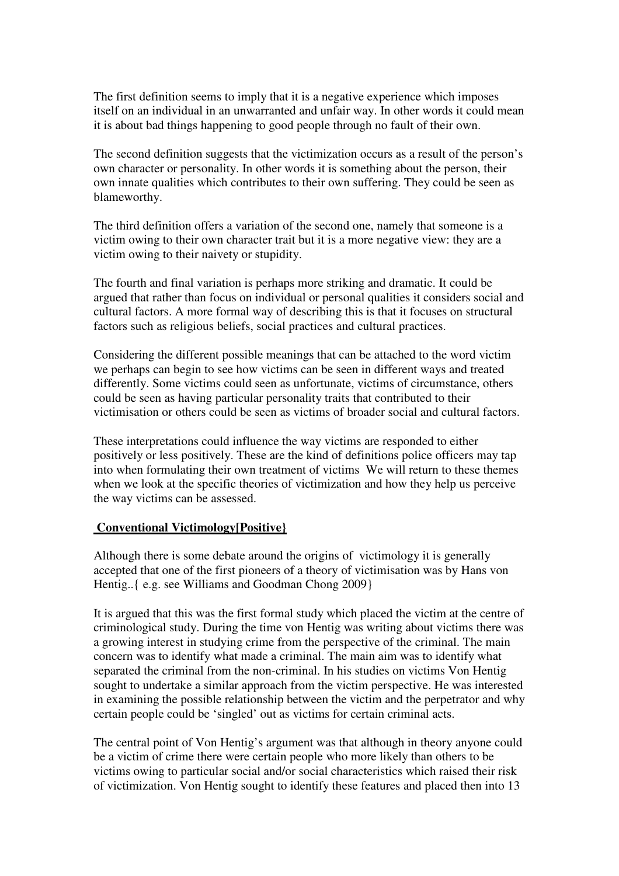The first definition seems to imply that it is a negative experience which imposes itself on an individual in an unwarranted and unfair way. In other words it could mean it is about bad things happening to good people through no fault of their own.

The second definition suggests that the victimization occurs as a result of the person's own character or personality. In other words it is something about the person, their own innate qualities which contributes to their own suffering. They could be seen as blameworthy.

The third definition offers a variation of the second one, namely that someone is a victim owing to their own character trait but it is a more negative view: they are a victim owing to their naivety or stupidity.

The fourth and final variation is perhaps more striking and dramatic. It could be argued that rather than focus on individual or personal qualities it considers social and cultural factors. A more formal way of describing this is that it focuses on structural factors such as religious beliefs, social practices and cultural practices.

Considering the different possible meanings that can be attached to the word victim we perhaps can begin to see how victims can be seen in different ways and treated differently. Some victims could seen as unfortunate, victims of circumstance, others could be seen as having particular personality traits that contributed to their victimisation or others could be seen as victims of broader social and cultural factors.

These interpretations could influence the way victims are responded to either positively or less positively. These are the kind of definitions police officers may tap into when formulating their own treatment of victims We will return to these themes when we look at the specific theories of victimization and how they help us perceive the way victims can be assessed.

#### **Conventional Victimology[Positive}**

Although there is some debate around the origins of victimology it is generally accepted that one of the first pioneers of a theory of victimisation was by Hans von Hentig..{ e.g. see Williams and Goodman Chong 2009}

It is argued that this was the first formal study which placed the victim at the centre of criminological study. During the time von Hentig was writing about victims there was a growing interest in studying crime from the perspective of the criminal. The main concern was to identify what made a criminal. The main aim was to identify what separated the criminal from the non-criminal. In his studies on victims Von Hentig sought to undertake a similar approach from the victim perspective. He was interested in examining the possible relationship between the victim and the perpetrator and why certain people could be 'singled' out as victims for certain criminal acts.

The central point of Von Hentig's argument was that although in theory anyone could be a victim of crime there were certain people who more likely than others to be victims owing to particular social and/or social characteristics which raised their risk of victimization. Von Hentig sought to identify these features and placed then into 13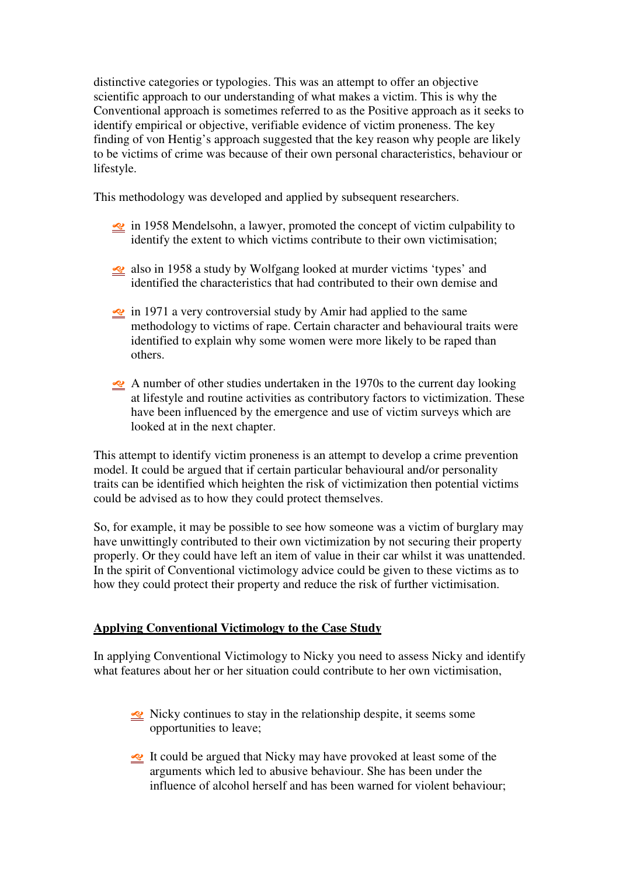distinctive categories or typologies. This was an attempt to offer an objective scientific approach to our understanding of what makes a victim. This is why the Conventional approach is sometimes referred to as the Positive approach as it seeks to identify empirical or objective, verifiable evidence of victim proneness. The key finding of von Hentig's approach suggested that the key reason why people are likely to be victims of crime was because of their own personal characteristics, behaviour or lifestyle.

This methodology was developed and applied by subsequent researchers.

- in 1958 Mendelsohn, a lawyer, promoted the concept of victim culpability to identify the extent to which victims contribute to their own victimisation;
- also in 1958 a study by Wolfgang looked at murder victims 'types' and identified the characteristics that had contributed to their own demise and
- $\leq$  in 1971 a very controversial study by Amir had applied to the same methodology to victims of rape. Certain character and behavioural traits were identified to explain why some women were more likely to be raped than others.
- A number of other studies undertaken in the 1970s to the current day looking at lifestyle and routine activities as contributory factors to victimization. These have been influenced by the emergence and use of victim surveys which are looked at in the next chapter.

This attempt to identify victim proneness is an attempt to develop a crime prevention model. It could be argued that if certain particular behavioural and/or personality traits can be identified which heighten the risk of victimization then potential victims could be advised as to how they could protect themselves.

So, for example, it may be possible to see how someone was a victim of burglary may have unwittingly contributed to their own victimization by not securing their property properly. Or they could have left an item of value in their car whilst it was unattended. In the spirit of Conventional victimology advice could be given to these victims as to how they could protect their property and reduce the risk of further victimisation.

## **Applying Conventional Victimology to the Case Study**

In applying Conventional Victimology to Nicky you need to assess Nicky and identify what features about her or her situation could contribute to her own victimisation,

- Nicky continues to stay in the relationship despite, it seems some opportunities to leave;
- It could be argued that Nicky may have provoked at least some of the arguments which led to abusive behaviour. She has been under the influence of alcohol herself and has been warned for violent behaviour;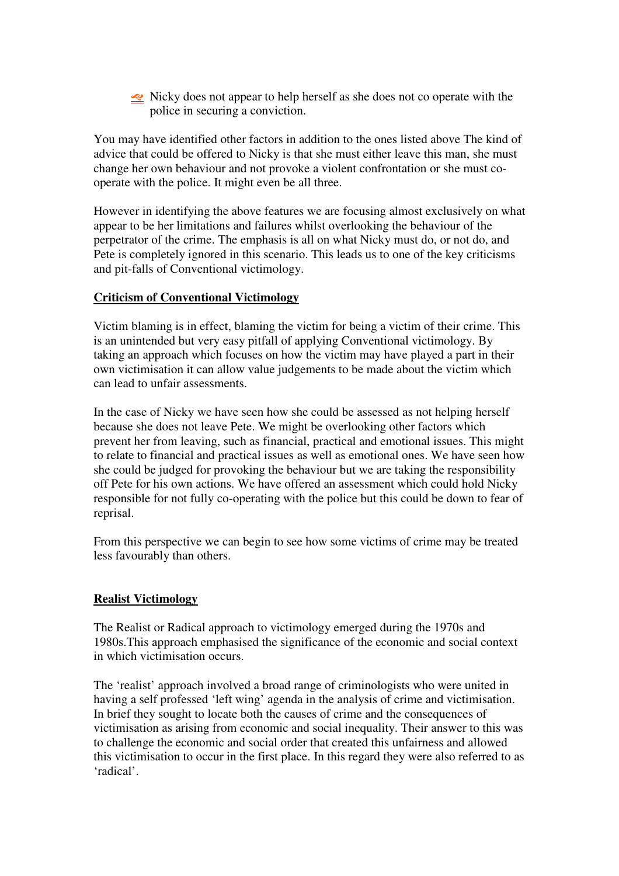Nicky does not appear to help herself as she does not co operate with the police in securing a conviction.

You may have identified other factors in addition to the ones listed above The kind of advice that could be offered to Nicky is that she must either leave this man, she must change her own behaviour and not provoke a violent confrontation or she must cooperate with the police. It might even be all three.

However in identifying the above features we are focusing almost exclusively on what appear to be her limitations and failures whilst overlooking the behaviour of the perpetrator of the crime. The emphasis is all on what Nicky must do, or not do, and Pete is completely ignored in this scenario. This leads us to one of the key criticisms and pit-falls of Conventional victimology.

### **Criticism of Conventional Victimology**

Victim blaming is in effect, blaming the victim for being a victim of their crime. This is an unintended but very easy pitfall of applying Conventional victimology. By taking an approach which focuses on how the victim may have played a part in their own victimisation it can allow value judgements to be made about the victim which can lead to unfair assessments.

In the case of Nicky we have seen how she could be assessed as not helping herself because she does not leave Pete. We might be overlooking other factors which prevent her from leaving, such as financial, practical and emotional issues. This might to relate to financial and practical issues as well as emotional ones. We have seen how she could be judged for provoking the behaviour but we are taking the responsibility off Pete for his own actions. We have offered an assessment which could hold Nicky responsible for not fully co-operating with the police but this could be down to fear of reprisal.

From this perspective we can begin to see how some victims of crime may be treated less favourably than others.

## **Realist Victimology**

The Realist or Radical approach to victimology emerged during the 1970s and 1980s.This approach emphasised the significance of the economic and social context in which victimisation occurs.

The 'realist' approach involved a broad range of criminologists who were united in having a self professed 'left wing' agenda in the analysis of crime and victimisation. In brief they sought to locate both the causes of crime and the consequences of victimisation as arising from economic and social inequality. Their answer to this was to challenge the economic and social order that created this unfairness and allowed this victimisation to occur in the first place. In this regard they were also referred to as 'radical'.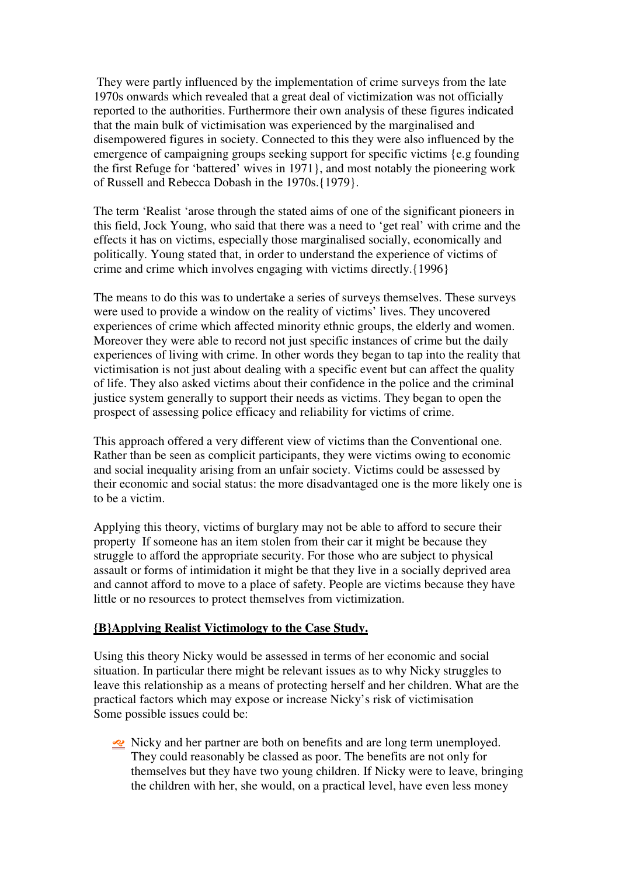They were partly influenced by the implementation of crime surveys from the late 1970s onwards which revealed that a great deal of victimization was not officially reported to the authorities. Furthermore their own analysis of these figures indicated that the main bulk of victimisation was experienced by the marginalised and disempowered figures in society. Connected to this they were also influenced by the emergence of campaigning groups seeking support for specific victims {e.g founding the first Refuge for 'battered' wives in 1971}, and most notably the pioneering work of Russell and Rebecca Dobash in the 1970s.{1979}.

The term 'Realist 'arose through the stated aims of one of the significant pioneers in this field, Jock Young, who said that there was a need to 'get real' with crime and the effects it has on victims, especially those marginalised socially, economically and politically. Young stated that, in order to understand the experience of victims of crime and crime which involves engaging with victims directly.{1996}

The means to do this was to undertake a series of surveys themselves. These surveys were used to provide a window on the reality of victims' lives. They uncovered experiences of crime which affected minority ethnic groups, the elderly and women. Moreover they were able to record not just specific instances of crime but the daily experiences of living with crime. In other words they began to tap into the reality that victimisation is not just about dealing with a specific event but can affect the quality of life. They also asked victims about their confidence in the police and the criminal justice system generally to support their needs as victims. They began to open the prospect of assessing police efficacy and reliability for victims of crime.

This approach offered a very different view of victims than the Conventional one. Rather than be seen as complicit participants, they were victims owing to economic and social inequality arising from an unfair society. Victims could be assessed by their economic and social status: the more disadvantaged one is the more likely one is to be a victim.

Applying this theory, victims of burglary may not be able to afford to secure their property If someone has an item stolen from their car it might be because they struggle to afford the appropriate security. For those who are subject to physical assault or forms of intimidation it might be that they live in a socially deprived area and cannot afford to move to a place of safety. People are victims because they have little or no resources to protect themselves from victimization.

#### **{B}Applying Realist Victimology to the Case Study.**

Using this theory Nicky would be assessed in terms of her economic and social situation. In particular there might be relevant issues as to why Nicky struggles to leave this relationship as a means of protecting herself and her children. What are the practical factors which may expose or increase Nicky's risk of victimisation Some possible issues could be:

Nicky and her partner are both on benefits and are long term unemployed. They could reasonably be classed as poor. The benefits are not only for themselves but they have two young children. If Nicky were to leave, bringing the children with her, she would, on a practical level, have even less money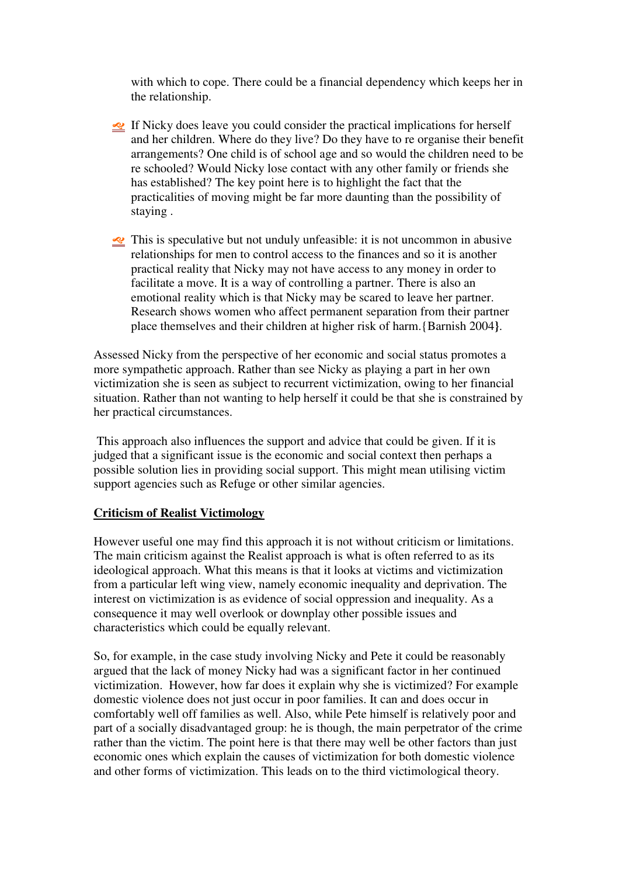with which to cope. There could be a financial dependency which keeps her in the relationship.

- If Nicky does leave you could consider the practical implications for herself and her children. Where do they live? Do they have to re organise their benefit arrangements? One child is of school age and so would the children need to be re schooled? Would Nicky lose contact with any other family or friends she has established? The key point here is to highlight the fact that the practicalities of moving might be far more daunting than the possibility of staying .
- $\leq$  This is speculative but not unduly unfeasible: it is not uncommon in abusive relationships for men to control access to the finances and so it is another practical reality that Nicky may not have access to any money in order to facilitate a move. It is a way of controlling a partner. There is also an emotional reality which is that Nicky may be scared to leave her partner. Research shows women who affect permanent separation from their partner place themselves and their children at higher risk of harm.{Barnish 2004**}**.

Assessed Nicky from the perspective of her economic and social status promotes a more sympathetic approach. Rather than see Nicky as playing a part in her own victimization she is seen as subject to recurrent victimization, owing to her financial situation. Rather than not wanting to help herself it could be that she is constrained by her practical circumstances.

 This approach also influences the support and advice that could be given. If it is judged that a significant issue is the economic and social context then perhaps a possible solution lies in providing social support. This might mean utilising victim support agencies such as Refuge or other similar agencies.

#### **Criticism of Realist Victimology**

However useful one may find this approach it is not without criticism or limitations. The main criticism against the Realist approach is what is often referred to as its ideological approach. What this means is that it looks at victims and victimization from a particular left wing view, namely economic inequality and deprivation. The interest on victimization is as evidence of social oppression and inequality. As a consequence it may well overlook or downplay other possible issues and characteristics which could be equally relevant.

So, for example, in the case study involving Nicky and Pete it could be reasonably argued that the lack of money Nicky had was a significant factor in her continued victimization. However, how far does it explain why she is victimized? For example domestic violence does not just occur in poor families. It can and does occur in comfortably well off families as well. Also, while Pete himself is relatively poor and part of a socially disadvantaged group: he is though, the main perpetrator of the crime rather than the victim. The point here is that there may well be other factors than just economic ones which explain the causes of victimization for both domestic violence and other forms of victimization. This leads on to the third victimological theory.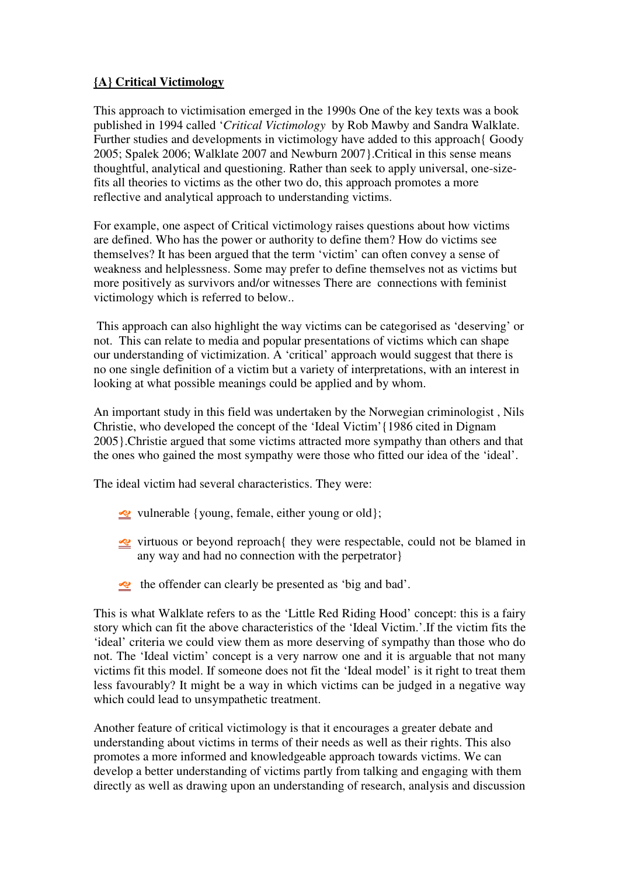## **{A} Critical Victimology**

This approach to victimisation emerged in the 1990s One of the key texts was a book published in 1994 called '*Critical Victimology* by Rob Mawby and Sandra Walklate. Further studies and developments in victimology have added to this approach{ Goody 2005; Spalek 2006; Walklate 2007 and Newburn 2007}.Critical in this sense means thoughtful, analytical and questioning. Rather than seek to apply universal, one-sizefits all theories to victims as the other two do, this approach promotes a more reflective and analytical approach to understanding victims.

For example, one aspect of Critical victimology raises questions about how victims are defined. Who has the power or authority to define them? How do victims see themselves? It has been argued that the term 'victim' can often convey a sense of weakness and helplessness. Some may prefer to define themselves not as victims but more positively as survivors and/or witnesses There are connections with feminist victimology which is referred to below..

 This approach can also highlight the way victims can be categorised as 'deserving' or not. This can relate to media and popular presentations of victims which can shape our understanding of victimization. A 'critical' approach would suggest that there is no one single definition of a victim but a variety of interpretations, with an interest in looking at what possible meanings could be applied and by whom.

An important study in this field was undertaken by the Norwegian criminologist , Nils Christie, who developed the concept of the 'Ideal Victim'{1986 cited in Dignam 2005}.Christie argued that some victims attracted more sympathy than others and that the ones who gained the most sympathy were those who fitted our idea of the 'ideal'.

The ideal victim had several characteristics. They were:

- $\leq$  vulnerable {young, female, either young or old};
- virtuous or beyond reproach{ they were respectable, could not be blamed in any way and had no connection with the perpetrator}
- the offender can clearly be presented as 'big and bad'.

This is what Walklate refers to as the 'Little Red Riding Hood' concept: this is a fairy story which can fit the above characteristics of the 'Ideal Victim.'.If the victim fits the 'ideal' criteria we could view them as more deserving of sympathy than those who do not. The 'Ideal victim' concept is a very narrow one and it is arguable that not many victims fit this model. If someone does not fit the 'Ideal model' is it right to treat them less favourably? It might be a way in which victims can be judged in a negative way which could lead to unsympathetic treatment.

Another feature of critical victimology is that it encourages a greater debate and understanding about victims in terms of their needs as well as their rights. This also promotes a more informed and knowledgeable approach towards victims. We can develop a better understanding of victims partly from talking and engaging with them directly as well as drawing upon an understanding of research, analysis and discussion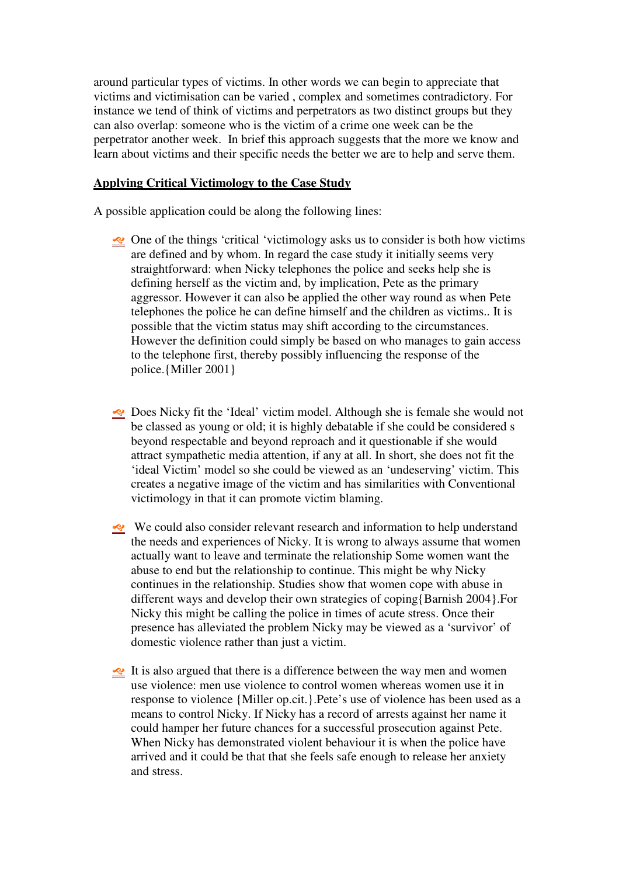around particular types of victims. In other words we can begin to appreciate that victims and victimisation can be varied , complex and sometimes contradictory. For instance we tend of think of victims and perpetrators as two distinct groups but they can also overlap: someone who is the victim of a crime one week can be the perpetrator another week. In brief this approach suggests that the more we know and learn about victims and their specific needs the better we are to help and serve them.

## **Applying Critical Victimology to the Case Study**

A possible application could be along the following lines:

- One of the things 'critical 'victimology asks us to consider is both how victims are defined and by whom. In regard the case study it initially seems very straightforward: when Nicky telephones the police and seeks help she is defining herself as the victim and, by implication, Pete as the primary aggressor. However it can also be applied the other way round as when Pete telephones the police he can define himself and the children as victims.. It is possible that the victim status may shift according to the circumstances. However the definition could simply be based on who manages to gain access to the telephone first, thereby possibly influencing the response of the police.{Miller 2001}
- Does Nicky fit the 'Ideal' victim model. Although she is female she would not be classed as young or old; it is highly debatable if she could be considered s beyond respectable and beyond reproach and it questionable if she would attract sympathetic media attention, if any at all. In short, she does not fit the 'ideal Victim' model so she could be viewed as an 'undeserving' victim. This creates a negative image of the victim and has similarities with Conventional victimology in that it can promote victim blaming.
- We could also consider relevant research and information to help understand the needs and experiences of Nicky. It is wrong to always assume that women actually want to leave and terminate the relationship Some women want the abuse to end but the relationship to continue. This might be why Nicky continues in the relationship. Studies show that women cope with abuse in different ways and develop their own strategies of coping{Barnish 2004}.For Nicky this might be calling the police in times of acute stress. Once their presence has alleviated the problem Nicky may be viewed as a 'survivor' of domestic violence rather than just a victim.
- It is also argued that there is a difference between the way men and women use violence: men use violence to control women whereas women use it in response to violence {Miller op.cit.}.Pete's use of violence has been used as a means to control Nicky. If Nicky has a record of arrests against her name it could hamper her future chances for a successful prosecution against Pete. When Nicky has demonstrated violent behaviour it is when the police have arrived and it could be that that she feels safe enough to release her anxiety and stress.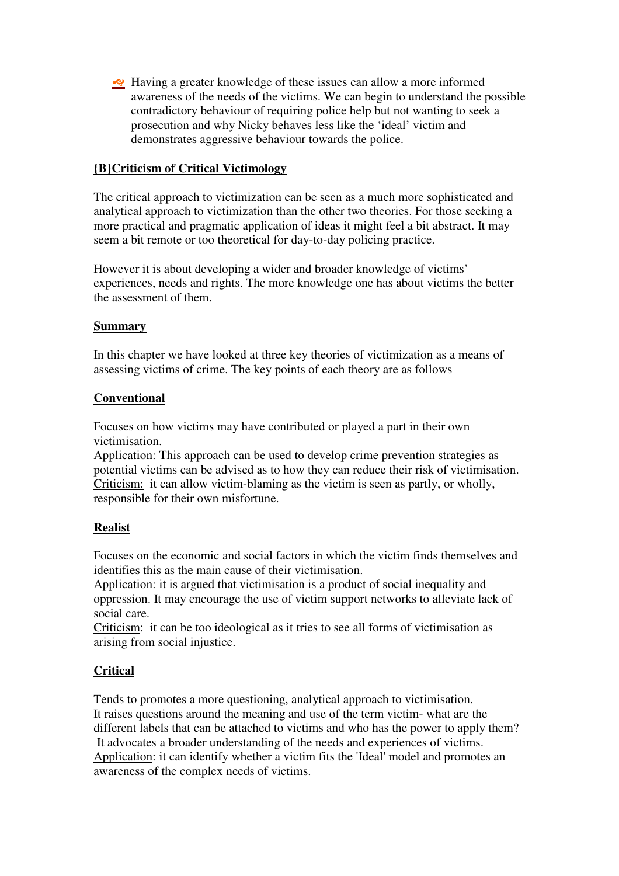Having a greater knowledge of these issues can allow a more informed awareness of the needs of the victims. We can begin to understand the possible contradictory behaviour of requiring police help but not wanting to seek a prosecution and why Nicky behaves less like the 'ideal' victim and demonstrates aggressive behaviour towards the police.

## **{B}Criticism of Critical Victimology**

The critical approach to victimization can be seen as a much more sophisticated and analytical approach to victimization than the other two theories. For those seeking a more practical and pragmatic application of ideas it might feel a bit abstract. It may seem a bit remote or too theoretical for day-to-day policing practice.

However it is about developing a wider and broader knowledge of victims' experiences, needs and rights. The more knowledge one has about victims the better the assessment of them.

### **Summary**

In this chapter we have looked at three key theories of victimization as a means of assessing victims of crime. The key points of each theory are as follows

## **Conventional**

Focuses on how victims may have contributed or played a part in their own victimisation.

Application: This approach can be used to develop crime prevention strategies as potential victims can be advised as to how they can reduce their risk of victimisation. Criticism: it can allow victim-blaming as the victim is seen as partly, or wholly, responsible for their own misfortune.

## **Realist**

Focuses on the economic and social factors in which the victim finds themselves and identifies this as the main cause of their victimisation.

Application: it is argued that victimisation is a product of social inequality and oppression. It may encourage the use of victim support networks to alleviate lack of social care.

Criticism: it can be too ideological as it tries to see all forms of victimisation as arising from social injustice.

## **Critical**

Tends to promotes a more questioning, analytical approach to victimisation. It raises questions around the meaning and use of the term victim- what are the different labels that can be attached to victims and who has the power to apply them? It advocates a broader understanding of the needs and experiences of victims. Application: it can identify whether a victim fits the 'Ideal' model and promotes an awareness of the complex needs of victims.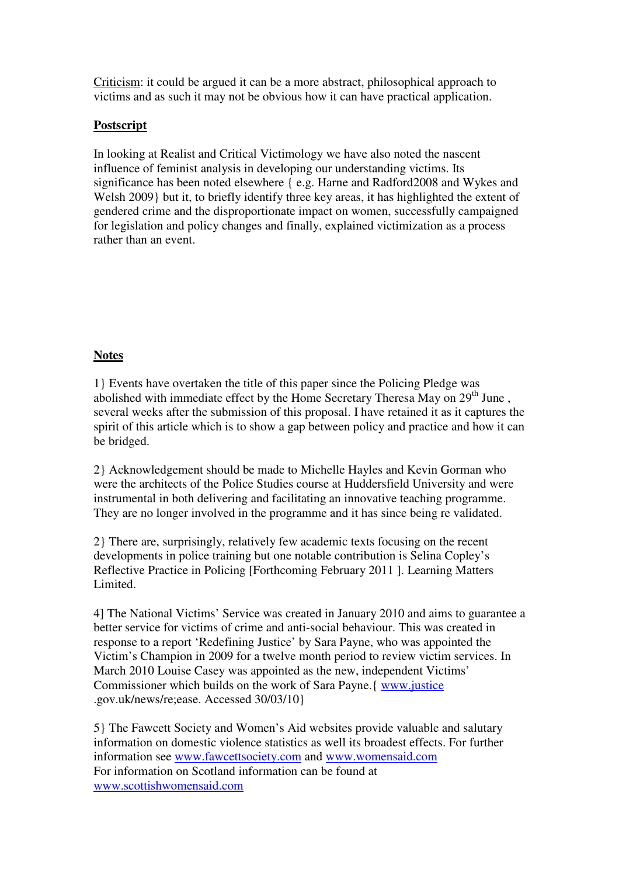Criticism: it could be argued it can be a more abstract, philosophical approach to victims and as such it may not be obvious how it can have practical application.

## **Postscript**

In looking at Realist and Critical Victimology we have also noted the nascent influence of feminist analysis in developing our understanding victims. Its significance has been noted elsewhere { e.g. Harne and Radford2008 and Wykes and Welsh 2009} but it, to briefly identify three key areas, it has highlighted the extent of gendered crime and the disproportionate impact on women, successfully campaigned for legislation and policy changes and finally, explained victimization as a process rather than an event.

### **Notes**

1} Events have overtaken the title of this paper since the Policing Pledge was abolished with immediate effect by the Home Secretary Theresa May on 29<sup>th</sup> June. several weeks after the submission of this proposal. I have retained it as it captures the spirit of this article which is to show a gap between policy and practice and how it can be bridged.

2} Acknowledgement should be made to Michelle Hayles and Kevin Gorman who were the architects of the Police Studies course at Huddersfield University and were instrumental in both delivering and facilitating an innovative teaching programme. They are no longer involved in the programme and it has since being re validated.

2} There are, surprisingly, relatively few academic texts focusing on the recent developments in police training but one notable contribution is Selina Copley's Reflective Practice in Policing [Forthcoming February 2011 ]. Learning Matters Limited.

4] The National Victims' Service was created in January 2010 and aims to guarantee a better service for victims of crime and anti-social behaviour. This was created in response to a report 'Redefining Justice' by Sara Payne, who was appointed the Victim's Champion in 2009 for a twelve month period to review victim services. In March 2010 Louise Casey was appointed as the new, independent Victims' Commissioner which builds on the work of Sara Payne.{ www.justice .gov.uk/news/re;ease. Accessed 30/03/10}

5} The Fawcett Society and Women's Aid websites provide valuable and salutary information on domestic violence statistics as well its broadest effects. For further information see www.fawcettsociety.com and www.womensaid.com For information on Scotland information can be found at www.scottishwomensaid.com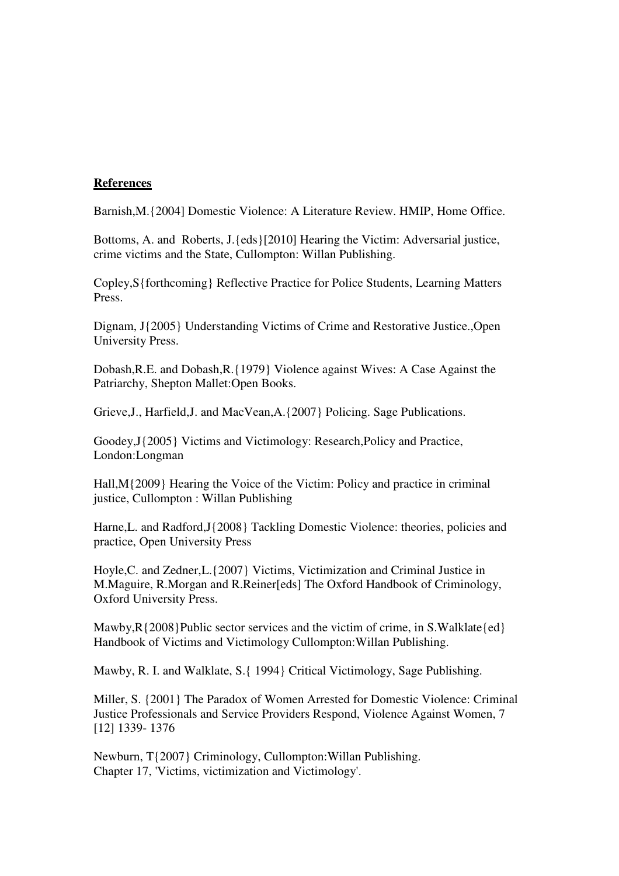#### **References**

Barnish,M.{2004] Domestic Violence: A Literature Review. HMIP, Home Office.

Bottoms, A. and Roberts, J.{eds}[2010] Hearing the Victim: Adversarial justice, crime victims and the State, Cullompton: Willan Publishing.

Copley,S{forthcoming} Reflective Practice for Police Students, Learning Matters Press.

Dignam, J{2005} Understanding Victims of Crime and Restorative Justice.,Open University Press.

Dobash,R.E. and Dobash,R.{1979} Violence against Wives: A Case Against the Patriarchy, Shepton Mallet:Open Books.

Grieve,J., Harfield,J. and MacVean,A.{2007} Policing. Sage Publications.

Goodey,J{2005} Victims and Victimology: Research,Policy and Practice, London:Longman

Hall,M{2009} Hearing the Voice of the Victim: Policy and practice in criminal justice, Cullompton : Willan Publishing

Harne, L. and Radford, J $\{2008\}$  Tackling Domestic Violence: theories, policies and practice, Open University Press

Hoyle,C. and Zedner,L.{2007} Victims, Victimization and Criminal Justice in M.Maguire, R.Morgan and R.Reiner[eds] The Oxford Handbook of Criminology, Oxford University Press.

Mawby,  $R$ {2008}Public sector services and the victim of crime, in S. Walklate{ed} Handbook of Victims and Victimology Cullompton:Willan Publishing.

Mawby, R. I. and Walklate, S.{ 1994} Critical Victimology, Sage Publishing.

Miller, S. {2001} The Paradox of Women Arrested for Domestic Violence: Criminal Justice Professionals and Service Providers Respond, Violence Against Women, 7 [12] 1339- 1376

Newburn, T{2007} Criminology, Cullompton:Willan Publishing. Chapter 17, 'Victims, victimization and Victimology'.